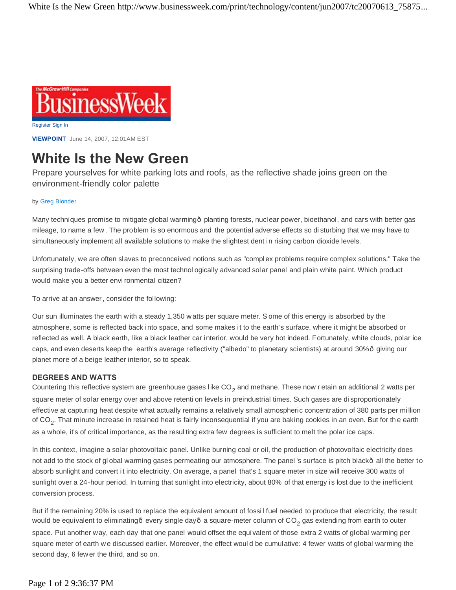

Register Sign In

**VIEWPOINT** June 14, 2007, 12:01AM EST

# **White Is the New Green**

Prepare yourselves for white parking lots and roofs, as the reflective shade joins green on the environment-friendly color palette

#### by Greg Blonder

Many techniques promise to mitigate global warming planting forests, nuclear power, bioethanol, and cars with better gas mileage, to name a few . The problem is so enormous and the potential adverse effects so di sturbing that we may have to simultaneously implement all available solutions to make the slightest dent in rising carbon dioxide levels.

Unfortunately, we are often slaves to preconceived notions such as "complex problems require complex solutions." Take the surprising trade-offs between even the most technol ogically advanced solar panel and plain white paint. Which product would make you a better envi ronmental citizen?

To arrive at an answer, consider the following:

Our sun illuminates the earth with a steady 1,350 w atts per square meter. S ome of this energy is absorbed by the atmosphere, some is reflected back into space, and some makes it to the earth's surface, where it might be absorbed or reflected as well. A black earth, like a black leather car interior, would be very hot indeed. Fortunately, white clouds, polar ice caps, and even deserts keep the earth's average reflectivity ("albedo" to planetary scientists) at around 30%—giving our planet more of a beige leather interior, so to speak.

### **DEGREES AND WATTS**

Countering this reflective system are greenhouse gases like CO<sub>2</sub> and methane. These now r etain an additional 2 watts per square meter of solar energy over and above retenti on levels in preindustrial times. Such gases are di sproportionately effective at capturing heat despite what actually remains a relatively small atmospheric concentration of 380 parts per mi llion of CO<sub>2</sub>. That minute increase in retained heat is fairly inconsequential if you are baking cookies in an oven. But for the earth as a whole, it's of critical importance, as the resul ting extra few degrees is sufficient to melt the polar ice caps.

In this context, imagine a solar photovoltaic panel. Unlike burning coal or oil, the production of photovoltaic electricity does not add to the stock of gl obal warming gases permeating our atmosphere. The panel 's surface is pitch black- all the better to absorb sunlight and convert it into electricity. On average, a panel that's 1 square meter in size will receive 300 watts of sunlight over a 24-hour period. In turning that sunlight into electricity, about 80% of that energy is lost due to the inefficient conversion process.

But if the remaining 20% is used to replace the equivalent amount of fossil fuel needed to produce that electricity, the result would be equivalent to eliminating—every single day—a square-meter column of CO<sub>2</sub> gas extending from earth to outer space. Put another way, each day that one panel would offset the equivalent of those extra 2 watts of global warming per square meter of earth we discussed earlier. Moreover, the effect woul d be cumulative: 4 fewer watts of global warming the second day, 6 fewer the third, and so on.